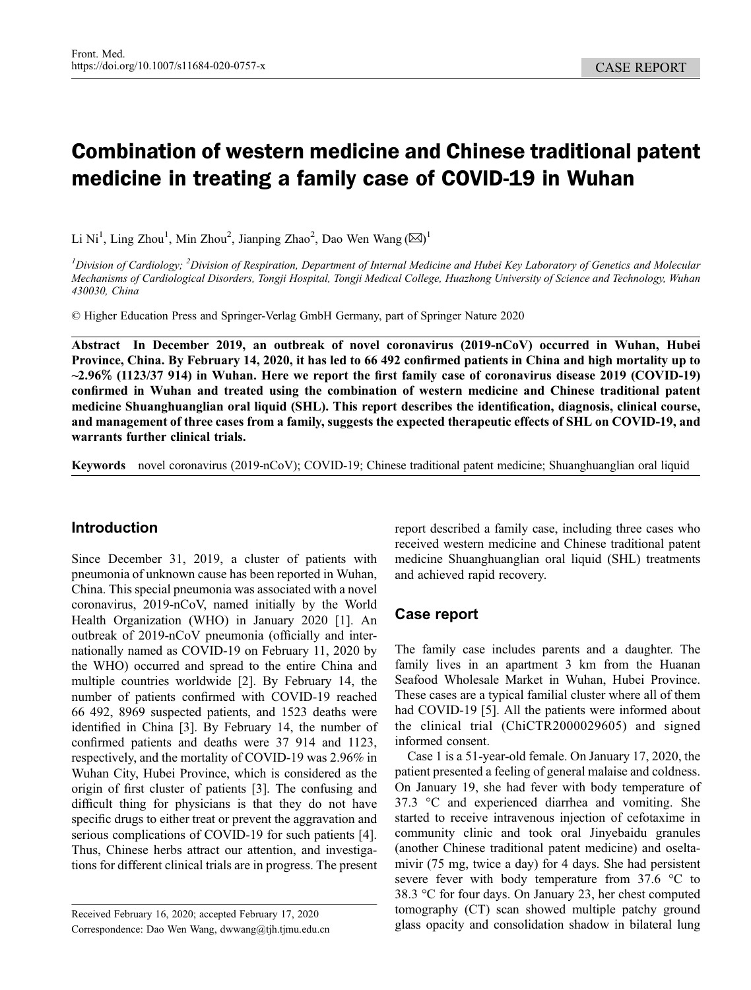# Combination of western medicine and Chinese traditional patent medicine in treating a family case of COVID-19 in Wuhan

Li Ni<sup>1</sup>, Ling Zhou<sup>1</sup>, Min Zhou<sup>2</sup>, Jianping Zhao<sup>2</sup>, Dao Wen Wang ( $\boxtimes$ )<sup>1</sup>

 $^l$ Division of Cardiology; <sup>2</sup>Division of Respiration, Department of Internal Medicine and Hubei Key Laboratory of Genetics and Molecular Mechanisms of Cardiological Disorders, Tongji Hospital, Tongji Medical College, Huazhong University of Science and Technology, Wuhan 430030, China

© Higher Education Press and Springer-Verlag GmbH Germany, part of Springer Nature 2020

Abstract In December 2019, an outbreak of novel coronavirus (2019-nCoV) occurred in Wuhan, Hubei Province, China. By February 14, 2020, it has led to 66 492 confirmed patients in China and high mortality up to ~2.96% (1123/37 914) in Wuhan. Here we report the first family case of coronavirus disease 2019 (COVID-19) confirmed in Wuhan and treated using the combination of western medicine and Chinese traditional patent medicine Shuanghuanglian oral liquid (SHL). This report describes the identification, diagnosis, clinical course, and management of three cases from a family, suggests the expected therapeutic effects of SHL on COVID-19, and warrants further clinical trials.

Keywords novel coronavirus (2019-nCoV); COVID-19; Chinese traditional patent medicine; Shuanghuanglian oral liquid

# Introduction

Since December 31, 2019, a cluster of patients with pneumonia of unknown cause has been reported in Wuhan, China. This special pneumonia was associated with a novel coronavirus, 2019-nCoV, named initially by the World Health Organization (WHO) in January 2020 [\[1\]](#page-4-0). An outbreak of 2019-nCoV pneumonia (officially and internationally named as COVID-19 on February 11, 2020 by the WHO) occurred and spread to the entire China and multiple countries worldwide [\[2](#page-4-0)]. By February 14, the number of patients confirmed with COVID-19 reached 66 492, 8969 suspected patients, and 1523 deaths were identified in China [\[3\]](#page-4-0). By February 14, the number of confirmed patients and deaths were 37 914 and 1123, respectively, and the mortality of COVID-19 was 2.96% in Wuhan City, Hubei Province, which is considered as the origin of first cluster of patients [\[3](#page-4-0)]. The confusing and difficult thing for physicians is that they do not have specific drugs to either treat or prevent the aggravation and serious complications of COVID-19 for such patients [[4](#page-4-0)]. Thus, Chinese herbs attract our attention, and investigations for different clinical trials are in progress. The present

report described a family case, including three cases who received western medicine and Chinese traditional patent medicine Shuanghuanglian oral liquid (SHL) treatments and achieved rapid recovery.

# Case report

The family case includes parents and a daughter. The family lives in an apartment 3 km from the Huanan Seafood Wholesale Market in Wuhan, Hubei Province. These cases are a typical familial cluster where all of them had COVID-19 [\[5](#page-4-0)]. All the patients were informed about the clinical trial (ChiCTR2000029605) and signed informed consent.

Case 1 is a 51-year-old female. On January 17, 2020, the patient presented a feeling of general malaise and coldness. On January 19, she had fever with body temperature of 37.3 °C and experienced diarrhea and vomiting. She started to receive intravenous injection of cefotaxime in community clinic and took oral Jinyebaidu granules (another Chinese traditional patent medicine) and oseltamivir (75 mg, twice a day) for 4 days. She had persistent severe fever with body temperature from 37.6 °C to 38.3 °C for four days. On January 23, her chest computed tomography (CT) scan showed multiple patchy ground glass opacity and consolidation shadow in bilateral lung

Received February 16, 2020; accepted February 17, 2020 Correspondence: Dao Wen Wang, dwwang@tjh.tjmu.edu.cn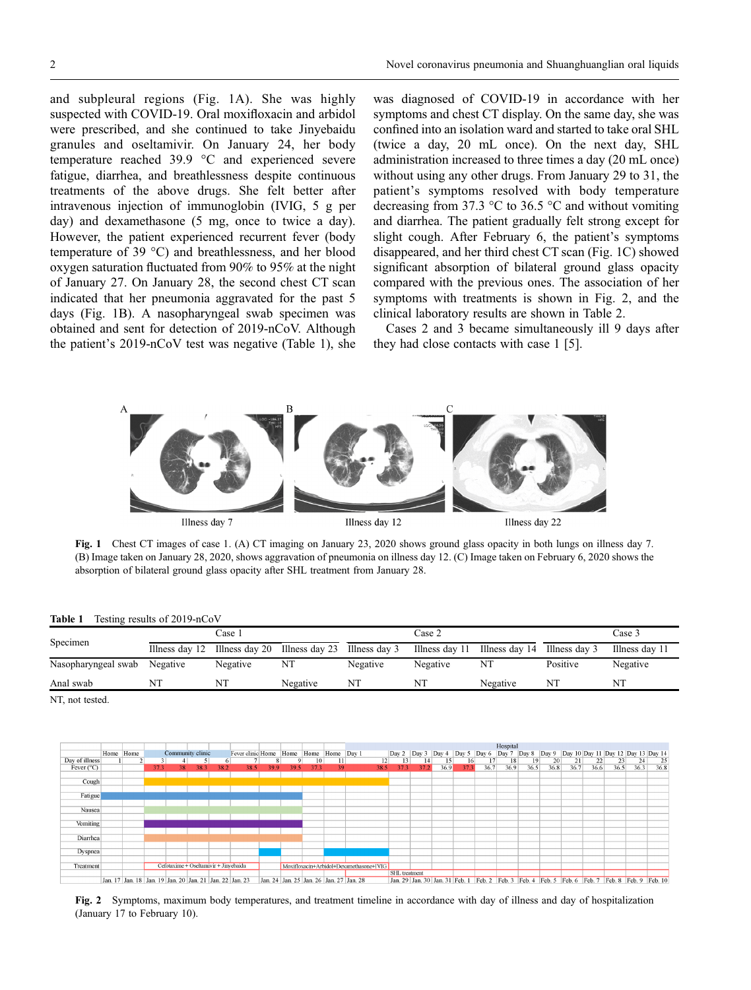and subpleural regions (Fig. 1A). She was highly suspected with COVID-19. Oral moxifloxacin and arbidol were prescribed, and she continued to take Jinyebaidu granules and oseltamivir. On January 24, her body temperature reached 39.9 °C and experienced severe fatigue, diarrhea, and breathlessness despite continuous treatments of the above drugs. She felt better after intravenous injection of immunoglobin (IVIG, 5 g per day) and dexamethasone (5 mg, once to twice a day). However, the patient experienced recurrent fever (body temperature of 39 °C) and breathlessness, and her blood oxygen saturation fluctuated from 90% to 95% at the night of January 27. On January 28, the second chest CT scan indicated that her pneumonia aggravated for the past 5 days (Fig. 1B). A nasopharyngeal swab specimen was obtained and sent for detection of 2019-nCoV. Although the patient's 2019-nCoV test was negative (Table 1), she

was diagnosed of COVID-19 in accordance with her symptoms and chest CT display. On the same day, she was confined into an isolation ward and started to take oral SHL (twice a day, 20 mL once). On the next day, SHL administration increased to three times a day (20 mL once) without using any other drugs. From January 29 to 31, the patient's symptoms resolved with body temperature decreasing from 37.3 °C to 36.5 °C and without vomiting and diarrhea. The patient gradually felt strong except for slight cough. After February 6, the patient's symptoms disappeared, and her third chest CT scan (Fig. 1C) showed significant absorption of bilateral ground glass opacity compared with the previous ones. The association of her symptoms with treatments is shown in Fig. 2, and the clinical laboratory results are shown in Table 2.

Cases 2 and 3 became simultaneously ill 9 days after they had close contacts with case 1 [[5](#page-4-0)].



Fig. 1 Chest CT images of case 1. (A) CT imaging on January 23, 2020 shows ground glass opacity in both lungs on illness day 7. (B) Image taken on January 28, 2020, shows aggravation of pneumonia on illness day 12. (C) Image taken on February 6, 2020 shows the absorption of bilateral ground glass opacity after SHL treatment from January 28.

Table 1 Testing results of 2019-nCoV

| Specimen            | Case :   |                                                            |          | Case 2   |                |                              | Case 3    |                |
|---------------------|----------|------------------------------------------------------------|----------|----------|----------------|------------------------------|-----------|----------------|
|                     |          | Illness day 12 Illness day 20 Illness day 23 Illness day 3 |          |          | Illness day 11 | Illness day 14 Illness day 3 |           | Illness day 11 |
| Nasopharyngeal swab | Negative | Negative                                                   | NT       | Negative | Negative       | NT                           | Positive  | Negative       |
| Anal swab           | NT       | NT                                                         | Negative | NT       | NT             | Negative                     | <b>NT</b> | NT             |

NT, not tested.



Fig. 2 Symptoms, maximum body temperatures, and treatment timeline in accordance with day of illness and day of hospitalization (January 17 to February 10).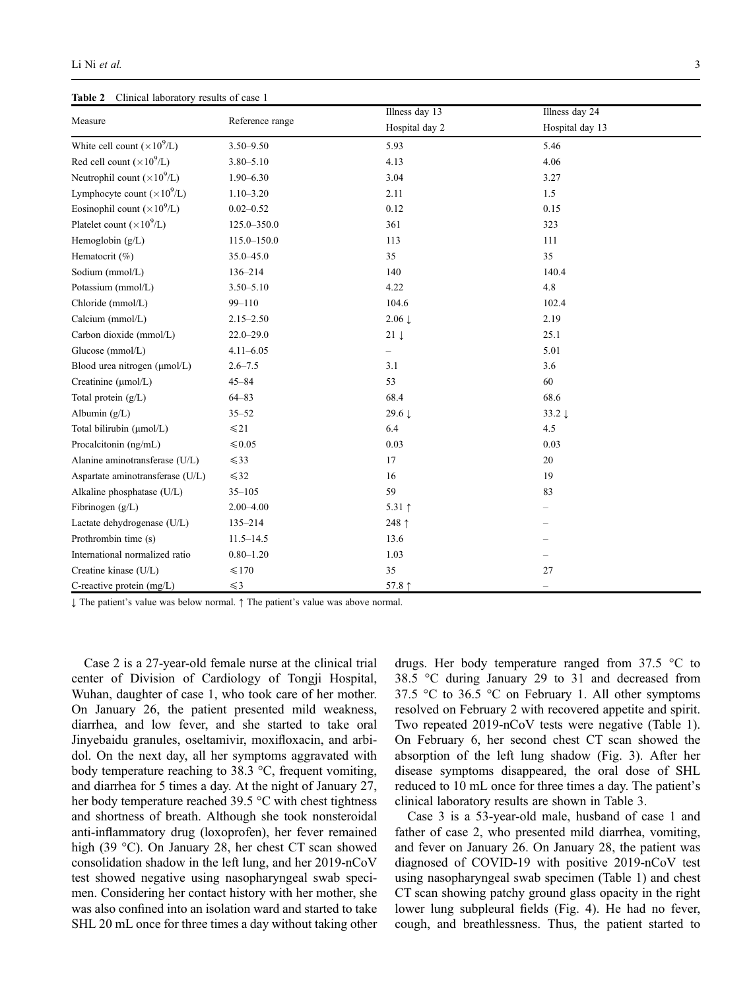Table 2 Clinical laboratory results of case 1

|                                    |                 | Illness day 13           | Illness day 24    |  |  |
|------------------------------------|-----------------|--------------------------|-------------------|--|--|
| Measure                            | Reference range | Hospital day 2           | Hospital day 13   |  |  |
| White cell count $(\times 10^9/L)$ | $3.50 - 9.50$   | 5.93                     | 5.46              |  |  |
| Red cell count $(\times 10^9/L)$   | $3.80 - 5.10$   | 4.13                     | 4.06              |  |  |
| Neutrophil count $(\times 10^9/L)$ | $1.90 - 6.30$   | 3.04                     | 3.27              |  |  |
| Lymphocyte count $(\times 10^9/L)$ | $1.10 - 3.20$   | 2.11                     | 1.5               |  |  |
| Eosinophil count $(\times 10^9/L)$ | $0.02 - 0.52$   | 0.12                     | 0.15              |  |  |
| Platelet count $(\times 10^9$ /L)  | 125.0-350.0     | 361                      | 323               |  |  |
| Hemoglobin (g/L)                   | 115.0-150.0     | 113                      | 111               |  |  |
| Hematocrit (%)                     | 35.0-45.0       | 35                       | 35                |  |  |
| Sodium (mmol/L)                    | 136-214         | 140                      | 140.4             |  |  |
| Potassium (mmol/L)                 | $3.50 - 5.10$   | 4.22                     | 4.8               |  |  |
| Chloride (mmol/L)                  | $99 - 110$      | 104.6                    | 102.4             |  |  |
| Calcium (mmol/L)                   | $2.15 - 2.50$   | $2.06 \downarrow$        | 2.19              |  |  |
| Carbon dioxide (mmol/L)            | $22.0 - 29.0$   | $21 \downarrow$          | 25.1              |  |  |
| Glucose (mmol/L)                   | $4.11 - 6.05$   | $\overline{\phantom{0}}$ | 5.01              |  |  |
| Blood urea nitrogen (µmol/L)       | $2.6 - 7.5$     | 3.1                      | 3.6               |  |  |
| Creatinine (µmol/L)                | $45 - 84$       | 53                       | 60                |  |  |
| Total protein (g/L)                | $64 - 83$       | 68.4                     | 68.6              |  |  |
| Albumin $(g/L)$                    | $35 - 52$       | 29.6 $\downarrow$        | $33.2 \downarrow$ |  |  |
| Total bilirubin (µmol/L)           | $\leq 21$       | 6.4                      | 4.5               |  |  |
| Procalcitonin (ng/mL)              | $\leq 0.05$     | 0.03                     | 0.03              |  |  |
| Alanine aminotransferase (U/L)     | $\leq 33$       | 17                       | 20                |  |  |
| Aspartate aminotransferase (U/L)   | $\leq 32$       | 16                       | 19                |  |  |
| Alkaline phosphatase (U/L)         | $35 - 105$      | 59                       | 83                |  |  |
| Fibrinogen (g/L)                   | $2.00 - 4.00$   | 5.31 $\uparrow$          |                   |  |  |
| Lactate dehydrogenase (U/L)        | $135 - 214$     | 248 $\uparrow$           |                   |  |  |
| Prothrombin time (s)               | $11.5 - 14.5$   | 13.6                     |                   |  |  |
| International normalized ratio     | $0.80 - 1.20$   | 1.03                     |                   |  |  |
| Creatine kinase (U/L)              | $\leq 170$      | 35                       | 27                |  |  |
| C-reactive protein $(mg/L)$        | $\leq 3$        | 57.8 1                   | $\equiv$          |  |  |

↓ The patient's value was below normal. ↑ The patient's value was above normal.

Case 2 is a 27-year-old female nurse at the clinical trial center of Division of Cardiology of Tongji Hospital, Wuhan, daughter of case 1, who took care of her mother. On January 26, the patient presented mild weakness, diarrhea, and low fever, and she started to take oral Jinyebaidu granules, oseltamivir, moxifloxacin, and arbidol. On the next day, all her symptoms aggravated with body temperature reaching to 38.3 °C, frequent vomiting, and diarrhea for 5 times a day. At the night of January 27, her body temperature reached 39.5 °C with chest tightness and shortness of breath. Although she took nonsteroidal anti-inflammatory drug (loxoprofen), her fever remained high (39 °C). On January 28, her chest CT scan showed consolidation shadow in the left lung, and her 2019-nCoV test showed negative using nasopharyngeal swab specimen. Considering her contact history with her mother, she was also confined into an isolation ward and started to take SHL 20 mL once for three times a day without taking other

drugs. Her body temperature ranged from 37.5 °C to 38.5 °C during January 29 to 31 and decreased from 37.5 °C to 36.5 °C on February 1. All other symptoms resolved on February 2 with recovered appetite and spirit. Two repeated 2019-nCoV tests were negative (Table 1). On February 6, her second chest CT scan showed the absorption of the left lung shadow (Fig. 3). After her disease symptoms disappeared, the oral dose of SHL reduced to 10 mL once for three times a day. The patient's clinical laboratory results are shown in Table 3.

Case 3 is a 53-year-old male, husband of case 1 and father of case 2, who presented mild diarrhea, vomiting, and fever on January 26. On January 28, the patient was diagnosed of COVID-19 with positive 2019-nCoV test using nasopharyngeal swab specimen (Table 1) and chest CT scan showing patchy ground glass opacity in the right lower lung subpleural fields (Fig. 4). He had no fever, cough, and breathlessness. Thus, the patient started to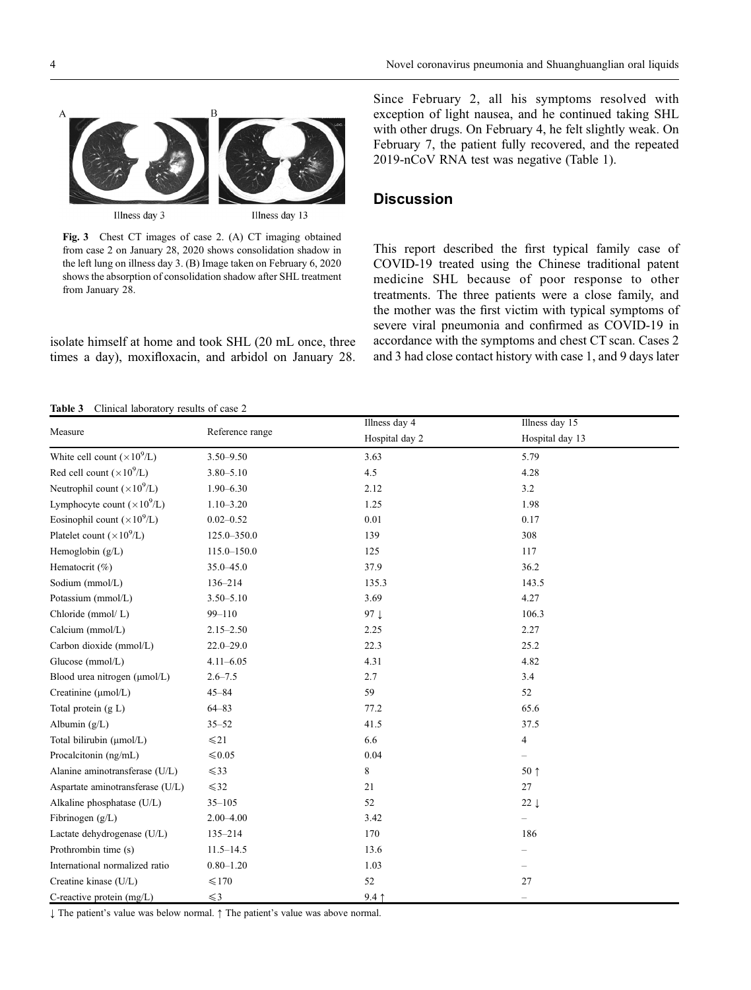

Fig. 3 Chest CT images of case 2. (A) CT imaging obtained from case 2 on January 28, 2020 shows consolidation shadow in the left lung on illness day 3. (B) Image taken on February 6, 2020 shows the absorption of consolidation shadow after SHL treatment from January 28.

isolate himself at home and took SHL (20 mL once, three times a day), moxifloxacin, and arbidol on January 28. Since February 2, all his symptoms resolved with exception of light nausea, and he continued taking SHL with other drugs. On February 4, he felt slightly weak. On February 7, the patient fully recovered, and the repeated 2019-nCoV RNA test was negative (Table 1).

# **Discussion**

This report described the first typical family case of COVID-19 treated using the Chinese traditional patent medicine SHL because of poor response to other treatments. The three patients were a close family, and the mother was the first victim with typical symptoms of severe viral pneumonia and confirmed as COVID-19 in accordance with the symptoms and chest CT scan. Cases 2 and 3 had close contact history with case 1, and 9 days later

#### Table 3 Clinical laboratory results of case 2

|                                     |                 | Illness day 4   | Illness day 15           |
|-------------------------------------|-----------------|-----------------|--------------------------|
| Measure                             | Reference range | Hospital day 2  | Hospital day 13          |
| White cell count $(\times 10^9$ /L) | $3.50 - 9.50$   | 3.63            | 5.79                     |
| Red cell count $(\times 10^9$ /L)   | $3.80 - 5.10$   | 4.5             | 4.28                     |
| Neutrophil count $(\times 10^9$ /L) | $1.90 - 6.30$   | 2.12            | 3.2                      |
| Lymphocyte count $(\times 10^9$ /L) | $1.10 - 3.20$   | 1.25            | 1.98                     |
| Eosinophil count $(\times 10^9$ /L) | $0.02 - 0.52$   | $0.01\,$        | 0.17                     |
| Platelet count $(\times 10^9$ /L)   | 125.0-350.0     | 139             | 308                      |
| Hemoglobin (g/L)                    | $115.0 - 150.0$ | 125             | 117                      |
| Hematocrit (%)                      | $35.0 - 45.0$   | 37.9            | 36.2                     |
| Sodium (mmol/L)                     | 136-214         | 135.3           | 143.5                    |
| Potassium (mmol/L)                  | $3.50 - 5.10$   | 3.69            | 4.27                     |
| Chloride (mmol/L)                   | $99 - 110$      | 97 $\downarrow$ | 106.3                    |
| Calcium (mmol/L)                    | $2.15 - 2.50$   | 2.25            | 2.27                     |
| Carbon dioxide (mmol/L)             | $22.0 - 29.0$   | 22.3            | 25.2                     |
| Glucose (mmol/L)                    | $4.11 - 6.05$   | 4.31            | 4.82                     |
| Blood urea nitrogen (µmol/L)        | $2.6 - 7.5$     | 2.7             | 3.4                      |
| Creatinine (µmol/L)                 | $45 - 84$       | 59              | 52                       |
| Total protein (g L)                 | $64 - 83$       | 77.2            | 65.6                     |
| Albumin $(g/L)$                     | $35 - 52$       | 41.5            | 37.5                     |
| Total bilirubin (µmol/L)            | $\leq 21$       | 6.6             | 4                        |
| Procalcitonin (ng/mL)               | $\leq 0.05$     | 0.04            | $\overline{\phantom{0}}$ |
| Alanine aminotransferase (U/L)      | $\leq 33$       | 8               | $50 \uparrow$            |
| Aspartate aminotransferase (U/L)    | $\leq 32$       | 21              | 27                       |
| Alkaline phosphatase (U/L)          | $35 - 105$      | 52              | $22 \downarrow$          |
| Fibrinogen $(g/L)$                  | $2.00 - 4.00$   | 3.42            | $\overline{\phantom{0}}$ |
| Lactate dehydrogenase (U/L)         | $135 - 214$     | 170             | 186                      |
| Prothrombin time (s)                | $11.5 - 14.5$   | 13.6            |                          |
| International normalized ratio      | $0.80 - 1.20$   | 1.03            | -                        |
| Creatine kinase (U/L)               | $\leq 170$      | 52              | 27                       |
| C-reactive protein $(mg/L)$         | $\leq 3$        | $9.4 \uparrow$  | $\overline{\phantom{0}}$ |

↓ The patient's value was below normal. ↑ The patient's value was above normal.